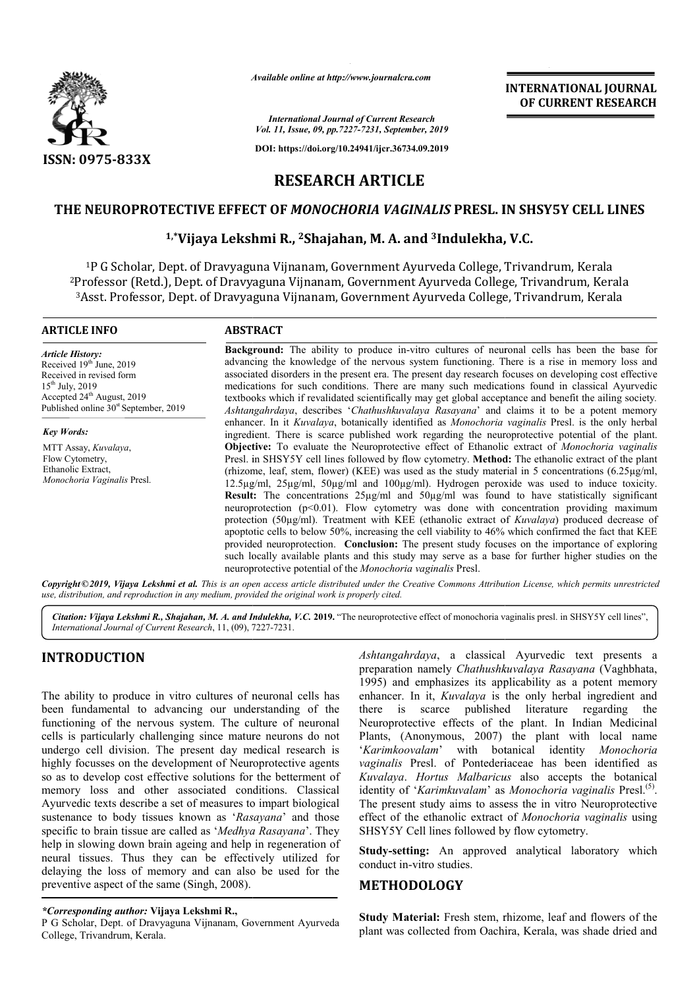

*Available online at http://www.journalcra.com*

*International Journal of Current Research Vol. 11, Issue, 09, pp.7227-7231, September, 2019*

**DOI: https://doi.org/10.24941/ijcr.36734.09.2019**

# **INTERNATIONAL JOURNAL OF CURRENT RESEARCH**

**RESEARCH ARTICLE**

## **THE NEUROPROTECTIVE EFFECT OF**  *MONOCHORIA VAGINALIS* **PRESL. IN SHSY5Y CELL LINES**

# <sup>1,</sup>\*Vijaya Lekshmi R., <sup>2</sup>Shajahan, M. A. and <sup>3</sup>Indulekha, V.C.

1P G Scholar, Dept. of Dravyaguna Vijnanam, Government Ayurveda College, Trivandrum, Kerala <sup>2</sup>Professor (Retd.), Dept. of Dravyaguna Vijnanam, Government Ayurveda College, Trivandrum, Kerala<br><sup>3</sup>Asst. Professor, Dept. of Dravyaguna Vijnanam, Government Ayurveda College, Trivandrum, Kerala 3Asst. Professor, Dept. of Dravyaguna Vijnanam, Government Ayurveda Col

#### **ARTICLE INFO ABSTRACT**

*Article History:* Received 19<sup>th</sup> June, 2019 Received in revised form 15th July, 2019 Accepted 24<sup>th</sup> August, 2019 Published online  $30<sup>st</sup>$  September, 2019

*Key Words:* MTT Assay, *Kuvalaya*, Flow Cytometry. Ethanolic Extract, *Monochoria Vaginalis* Presl.

**Background:** The ability to produce in-vitro cultures of neuronal cells has been the base for advancing the knowledge of the nervous system functioning. There is a rise in memory loss and advancing the knowledge of the nervous system functioning. There is a rise in memory loss and associated disorders in the present era. The present day research focuses on developing cost effective medications for such conditions. There are many such medications found in classical Ayurvedic associated disorders in the present era. The present day research focuses on developing cost effective medications for such conditions. There are many such medications found in classical Ayurvedic textbooks which if revali Ashtangahrdaya, describes '*Chathushkuvalaya Rasayana*' and claims it to be a potent memory enhancer. In it *Kuvalaya*, botanically identified as *Monochoria vaginalis* Presl. is the only herbal ingredient. There is scarce published work regarding the neuroprotective potential of the plant. ingredient. There is scarce published work regarding the neuroprotective potential of the plant.<br>**Objective:** To evaluate the Neuroprotective effect of Ethanolic extract of *Monochoria vaginalis* Presl. in SHSY5Y cell lines followed by flow cytometry. **Method:** The ethanolic extract of the plant (rhizome, leaf, stem, flower) (KEE) was used as the study material in 5 concentrations (6.25 $\mu$ g/ml, 12.5µg/ml, 25µg/ml, 50µg/ml and 100µg/ml). Hydrogen peroxide was used to induce toxicity. **Result:** The concentrations  $25\mu g/ml$  and  $50\mu g/ml$  was found to have statistically significant (rhizome, leaf, stem, flower) (KEE) was used as the study material in 5 concentrations (6.25µg/ml, 12.5µg/ml, 25µg/ml, 50µg/ml and 100µg/ml). Hydrogen peroxide was used to induce toxicity.<br>**Result:** The concentrations 25µ protection (50µg/ml). Treatment with KEE (ethanolic extract of *Kuvalaya*) produced decrease of apoptotic cells to below 50%, increasing the cell viability to 46% which confirmed the fact that KEE provided neuroprotection. **Conclusion:** The present study focuses on the importance of exploring such locally available plants and this study may serve as a base for further higher studies on the neuroprotective potential of the *Monochoria vaginalis* Presl. apoptotic cells to below 50%, increasing the cell viability to 46% which confirmed the fact that KEE provided neuroprotection. **Conclusion:** The present study focuses on the importance of exploring such locally available p INTERNATIONAL JOURNAL<br>
For the method of CURRENT RESEARCH<br>
CO CURRENT RESEARCH<br>
2.7211, Spremenc, 2619<br>
2.411, Spremenc, 2619<br>
2.7211, Spremenc, 2619<br>
2.7211, Spremenc, 2619<br>
2.7211, Spremenc, 2619<br>
REA VAGINALIS PRESI. I

Copyright©2019, Vijaya Lekshmi et al. This is an open access article distributed under the Creative Commons Attribution License, which permits unrestrictea *use, distribution, and reproduction in any medium, provided the original work is properly cited.*

Citation: Vijaya Lekshmi R., Shajahan, M. A. and Indulekha, V.C. 2019. "The neuroprotective effect of monochoria vaginalis presl. in SHSY5Y cell lines", *International Journal of Current Research*, 11, (09), 7227 7227-7231.

## **INTRODUCTION**

The ability to produce in vitro cultures of neuronal cells has been fundamental to advancing our understanding of the functioning of the nervous system. The culture of neuronal cells is particularly challenging since mature neurons do not undergo cell division. The present day medical research is highly focusses on the development of Neuroprotective agents so as to develop cost effective solutions for the betterment of memory loss and other associated conditions. Classical Ayurvedic texts describe a set of measures to impart biological sustenance to body tissues known as '*Rasayana* ' and those specific to brain tissue are called as '*Medhya Rasayana* '. They help in slowing down brain ageing and help in regeneration of neural tissues. Thus they can be effectively utilized for delaying the loss of memory and can also be used for the preventive aspect of the same (Singh, 2008).

#### *\*Corresponding author:* **Vijaya Lekshmi R.,**

P G Scholar, Dept. of Dravyaguna Vijnanam, Government Ayurveda College, Trivandrum, Kerala.

Ashtangahrdaya, a classical Ayurvedic text presents a preparation namely *Chathushkuvalaya Rasayana* (Vaghbhata, 1995) and emphasizes its applicability as a potent memory 1995) and emphasizes its applicability as a potent memory enhancer. In it, *Kuvalaya* is the only herbal ingredient and there is scarce published literature regarding the there is scarce published literature regarding the Neuroprotective effects of the plant. In Indian Medicinal Plants, (Anonymous, 2007) the plant with local name '*Karimkoovalam*' with botanical identity *Monochoria*  vaginalis Presl. of Pontederiaceae has been identified as *Kuvalaya*. *Hortus Malbaricus* also accepts the botanical identity of 'Karimkuvalam' as Monochoria vaginalis Presl.<sup>(5)</sup>. The present study aims to assess the in vitro Neuroprotective The present study aims to assess the in vitro Neuroprotective effect of the ethanolic extract of *Monochoria vaginalis* using SHSY5Y Cell lines followed by flow cytometry.

**Study-setting:** An approved analytical laboratory which conduct in-vitro studies.

### **METHODOLOGY**

**Study Material:** Fresh stem, rhizome, leaf and flowers of the plant was collected from Oachira, Kerala, was shade dried and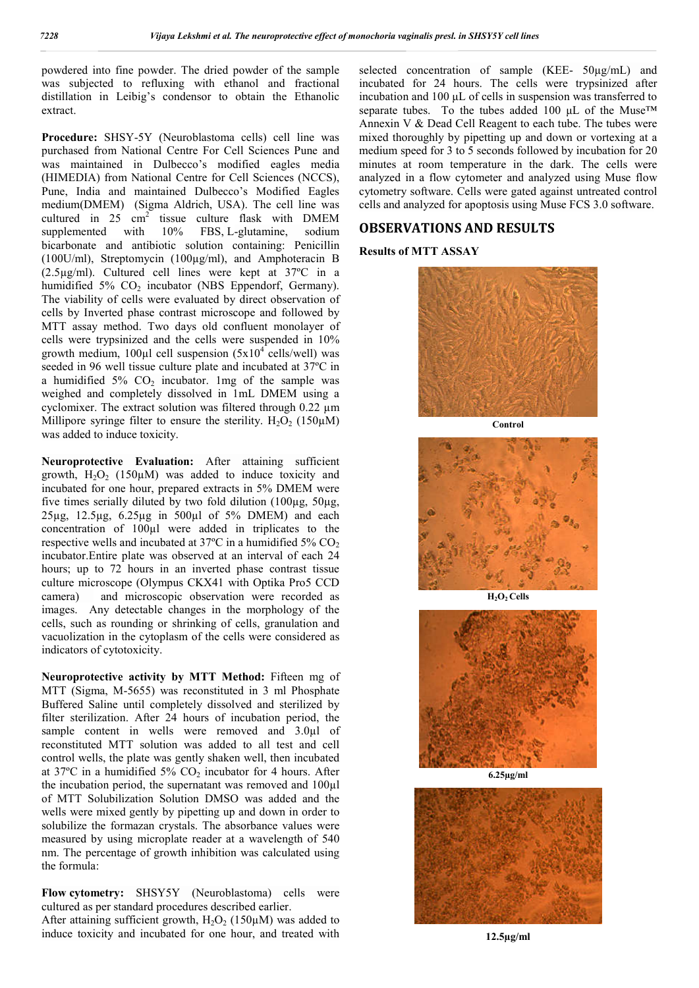powdered into fine powder. The dried powder of the sample was subjected to refluxing with ethanol and fractional distillation in Leibig's condensor to obtain the Ethanolic extract.

**Procedure:** SHSY-5Y (Neuroblastoma cells) cell line was purchased from National Centre For Cell Sciences Pune and was maintained in Dulbecco's modified eagles media (HIMEDIA) from National Centre for Cell Sciences (NCCS), Pune, India and maintained Dulbecco's Modified Eagles medium(DMEM) (Sigma Aldrich, USA). The cell line was cultured in 25 cm<sup>2</sup> tissue culture flask with DMEM supplemented with  $10\%$  FBS, L-glutamine, sodium 10% FBS, L-glutamine, sodium bicarbonate and antibiotic solution containing: Penicillin (100U/ml), Streptomycin (100µg/ml), and Amphoteracin B (2.5µg/ml). Cultured cell lines were kept at 37ºC in a humidified  $5\%$  CO<sub>2</sub> incubator (NBS Eppendorf, Germany). The viability of cells were evaluated by direct observation of cells by Inverted phase contrast microscope and followed by MTT assay method. Two days old confluent monolayer of cells were trypsinized and the cells were suspended in 10% growth medium, 100 $\mu$ l cell suspension (5x10<sup>4</sup> cells/well) was seeded in 96 well tissue culture plate and incubated at 37ºC in a humidified  $5\%$  CO<sub>2</sub> incubator. 1mg of the sample was weighed and completely dissolved in 1mL DMEM using a cyclomixer. The extract solution was filtered through 0.22 µm Millipore syringe filter to ensure the sterility.  $H_2O_2$  (150 $\mu$ M) was added to induce toxicity.

**Neuroprotective Evaluation:** After attaining sufficient growth,  $H_2O_2$  (150 $\mu$ M) was added to induce toxicity and incubated for one hour, prepared extracts in 5% DMEM were five times serially diluted by two fold dilution  $(100\mu g, 50\mu g,$ 25µg, 12.5µg, 6.25µg in 500µl of 5% DMEM) and each concentration of 100µl were added in triplicates to the respective wells and incubated at  $37^{\circ}$ C in a humidified  $5\%$  CO<sub>2</sub> incubator.Entire plate was observed at an interval of each 24 hours; up to 72 hours in an inverted phase contrast tissue culture microscope (Olympus CKX41 with Optika Pro5 CCD camera) and microscopic observation were recorded as images. Any detectable changes in the morphology of the cells, such as rounding or shrinking of cells, granulation and vacuolization in the cytoplasm of the cells were considered as indicators of cytotoxicity.

**Neuroprotective activity by MTT Method:** Fifteen mg of MTT (Sigma, M-5655) was reconstituted in 3 ml Phosphate Buffered Saline until completely dissolved and sterilized by filter sterilization. After 24 hours of incubation period, the sample content in wells were removed and  $3.0\mu$ l of reconstituted MTT solution was added to all test and cell control wells, the plate was gently shaken well, then incubated at  $37^{\circ}$ C in a humidified  $5\%$  CO<sub>2</sub> incubator for 4 hours. After the incubation period, the supernatant was removed and 100µl of MTT Solubilization Solution DMSO was added and the wells were mixed gently by pipetting up and down in order to solubilize the formazan crystals. The absorbance values were measured by using microplate reader at a wavelength of 540 nm. The percentage of growth inhibition was calculated using the formula:

**Flow cytometry:** SHSY5Y (Neuroblastoma) cells were cultured as per standard procedures described earlier. After attaining sufficient growth,  $H_2O_2$  (150 $\mu$ M) was added to

induce toxicity and incubated for one hour, and treated with

selected concentration of sample (KEE- 50µg/mL) and incubated for 24 hours. The cells were trypsinized after incubation and 100 μL of cells in suspension was transferred to separate tubes. To the tubes added 100 μL of the Muse<sup>TM</sup> Annexin V & Dead Cell Reagent to each tube. The tubes were mixed thoroughly by pipetting up and down or vortexing at a medium speed for 3 to 5 seconds followed by incubation for 20 minutes at room temperature in the dark. The cells were analyzed in a flow cytometer and analyzed using Muse flow cytometry software. Cells were gated against untreated control cells and analyzed for apoptosis using Muse FCS 3.0 software.

## **OBSERVATIONS AND RESULTS**

## **Results of MTT ASSAY**



**Control**







**6.25µg/ml**



**12.5µg/ml**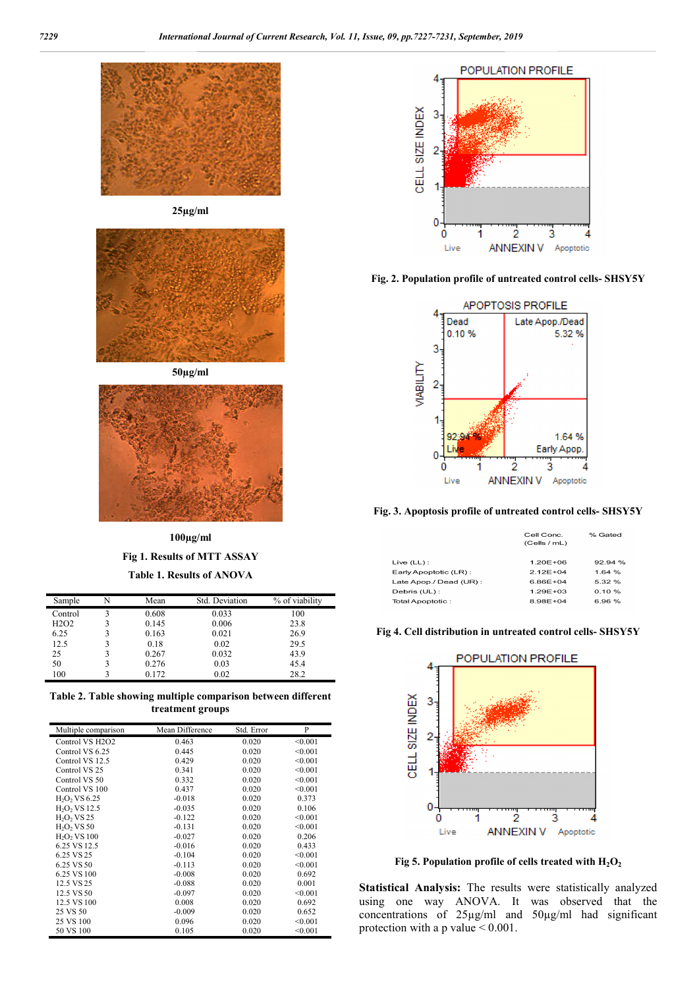

**25µg/ml**



**50µg/ml**



**100µg/ml Fig 1. Results of MTT ASSAY Table 1. Results of ANOVA**

| Sample                        | Mean  | Std. Deviation | % of viability |
|-------------------------------|-------|----------------|----------------|
| Control                       | 0.608 | 0.033          | 100            |
| H <sub>2</sub> O <sub>2</sub> | 0.145 | 0.006          | 23.8           |
| 6.25                          | 0.163 | 0.021          | 26.9           |
| 12.5                          | 0.18  | 0.02           | 29.5           |
| 25                            | 0.267 | 0.032          | 43.9           |
| 50                            | 0.276 | 0.03           | 45.4           |
| 100                           | 0.172 | 0.02           | 28.2           |

**Table 2. Table showing multiple comparison between different treatment groups**

| Multiple comparison                      | Mean Difference | Std. Error | P       |
|------------------------------------------|-----------------|------------|---------|
| Control VS H <sub>2</sub> O <sub>2</sub> | 0.463           | 0.020      | < 0.001 |
| Control VS 6.25                          | 0.445           | 0.020      | < 0.001 |
| Control VS 12.5                          | 0.429           | 0.020      | < 0.001 |
| Control VS 25                            | 0.341           | 0.020      | < 0.001 |
| Control VS 50                            | 0.332           | 0.020      | < 0.001 |
| Control VS 100                           | 0.437           | 0.020      | < 0.001 |
| $H_2O_2$ VS 6.25                         | $-0.018$        | 0.020      | 0.373   |
| $H_2O_2$ VS 12.5                         | $-0.035$        | 0.020      | 0.106   |
| $H2O2$ VS 25                             | $-0.122$        | 0.020      | < 0.001 |
| $H_2O_2$ VS 50                           | $-0.131$        | 0.020      | < 0.001 |
| H <sub>2</sub> O <sub>2</sub> VS 100     | $-0.027$        | 0.020      | 0.206   |
| 6.25 VS 12.5                             | $-0.016$        | 0.020      | 0.433   |
| 6.25 VS 25                               | $-0.104$        | 0.020      | < 0.001 |
| 6.25 VS 50                               | $-0.113$        | 0.020      | < 0.001 |
| 6.25 VS 100                              | $-0.008$        | 0.020      | 0.692   |
| 12.5 VS 25                               | $-0.088$        | 0.020      | 0.001   |
| 12.5 VS 50                               | $-0.097$        | 0.020      | < 0.001 |
| 12.5 VS 100                              | 0.008           | 0.020      | 0.692   |
| 25 VS 50                                 | $-0.009$        | 0.020      | 0.652   |
| 25 VS 100                                | 0.096           | 0.020      | < 0.001 |
| 50 VS 100                                | 0.105           | 0.020      | < 0.001 |



**Fig. 2. Population profile of untreated control cells- SHSY5Y**



**Fig. 3. Apoptosis profile of untreated control cells- SHSY5Y**

|                        | Cell Conc.<br>(Cells / mL) | % Gated   |
|------------------------|----------------------------|-----------|
| Live (LL):             | $1.20E + 06$               | 92.94%    |
| Early Apoptotic (LR):  | $2.12E + 04$               | 1.64%     |
| Late Apop./ Dead (UR): | 6.86E+04                   | 5.32 %    |
| Debris (UL) :          | $1.29E + 0.3$              | $0.10 \%$ |
| Total Apoptotic:       | 8.98E+04                   | 6.96%     |
|                        |                            |           |

**Fig 4. Cell distribution in untreated control cells- SHSY5Y**



**Fig 5.** Population profile of cells treated with  $H_2O_2$ 

**Statistical Analysis:** The results were statistically analyzed using one way ANOVA. It was observed that the concentrations of 25µg/ml and 50µg/ml had significant protection with a p value < 0.001.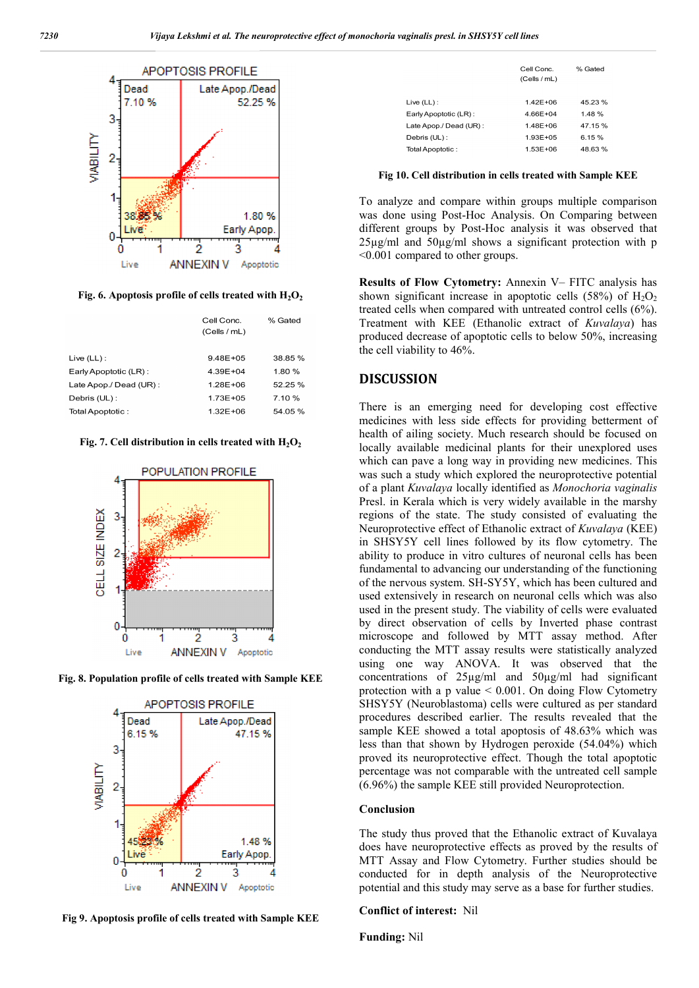

Fig. 6. Apoptosis profile of cells treated with  $H_2O_2$ 

|                        | Cell Conc.<br>(Cells / mL) | % Gated |
|------------------------|----------------------------|---------|
| $Live (LL)$ :          | $9.48E + 05$               | 38.85 % |
| Early Apoptotic (LR):  | $4.39E + 04$               | 1.80%   |
| Late Apop./ Dead (UR): | 1.28E+06                   | 52.25 % |
| Debris (UL):           | $1.73E + 0.5$              | 7.10 %  |
| Total Apoptotic:       | 1.32E+06                   | 54.05%  |
|                        |                            |         |

Fig. 7. Cell distribution in cells treated with  $H_2O_2$ 



**Fig. 8. Population profile of cells treated with Sample KEE**



**Fig 9. Apoptosis profile of cells treated with Sample KEE**

|                        | Cell Conc.<br>(Cells / mL) | % Gated |
|------------------------|----------------------------|---------|
| Live $(LL)$ :          | 1.42F+06                   | 45.23 % |
| Early Apoptotic (LR):  | 466F+04                    | 1.48%   |
| Late Apop./ Dead (UR): | 1.48F+06                   | 47.15%  |
| Debris (UL) :          | 1.93E+05                   | 6.15%   |
| Total Apoptotic:       | $1.53E + 06$               | 48.63%  |

**Fig 10. Cell distribution in cells treated with Sample KEE**

To analyze and compare within groups multiple comparison was done using Post-Hoc Analysis. On Comparing between different groups by Post-Hoc analysis it was observed that 25µg/ml and 50µg/ml shows a significant protection with p <0.001 compared to other groups.

**Results of Flow Cytometry:** Annexin V– FITC analysis has shown significant increase in apoptotic cells  $(58%)$  of  $H_2O_2$ treated cells when compared with untreated control cells (6%). Treatment with KEE (Ethanolic extract of *Kuvalaya*) has produced decrease of apoptotic cells to below 50%, increasing the cell viability to 46%.

## **DISCUSSION**

There is an emerging need for developing cost effective medicines with less side effects for providing betterment of health of ailing society. Much research should be focused on locally available medicinal plants for their unexplored uses which can pave a long way in providing new medicines. This was such a study which explored the neuroprotective potential of a plant *Kuvalaya* locally identified as *Monochoria vaginalis* Presl. in Kerala which is very widely available in the marshy regions of the state. The study consisted of evaluating the Neuroprotective effect of Ethanolic extract of *Kuvalaya* (KEE) in SHSY5Y cell lines followed by its flow cytometry. The ability to produce in vitro cultures of neuronal cells has been fundamental to advancing our understanding of the functioning of the nervous system. SH-SY5Y, which has been cultured and used extensively in research on neuronal cells which was also used in the present study. The viability of cells were evaluated by direct observation of cells by Inverted phase contrast microscope and followed by MTT assay method. After conducting the MTT assay results were statistically analyzed using one way ANOVA. It was observed that the concentrations of 25µg/ml and 50µg/ml had significant protection with a p value  $\leq 0.001$ . On doing Flow Cytometry SHSY5Y (Neuroblastoma) cells were cultured as per standard procedures described earlier. The results revealed that the sample KEE showed a total apoptosis of 48.63% which was less than that shown by Hydrogen peroxide (54.04%) which proved its neuroprotective effect. Though the total apoptotic percentage was not comparable with the untreated cell sample (6.96%) the sample KEE still provided Neuroprotection.

#### **Conclusion**

The study thus proved that the Ethanolic extract of Kuvalaya does have neuroprotective effects as proved by the results of MTT Assay and Flow Cytometry. Further studies should be conducted for in depth analysis of the Neuroprotective potential and this study may serve as a base for further studies.

#### **Conflict of interest:** Nil

**Funding:** Nil